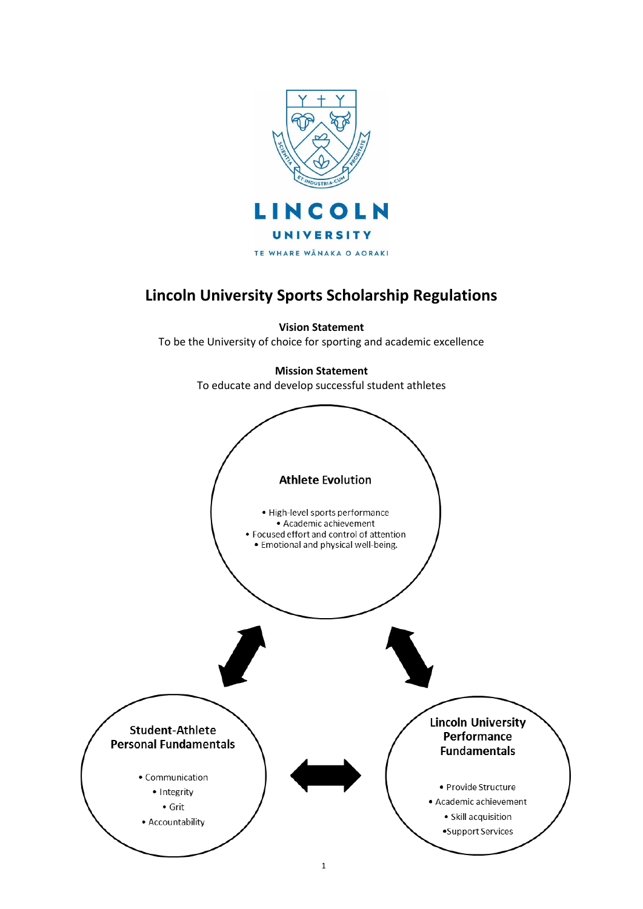

# **Lincoln University Sports Scholarship Regulations**

**Vision Statement** To be the University of choice for sporting and academic excellence

> **Mission Statement** To educate and develop successful student athletes

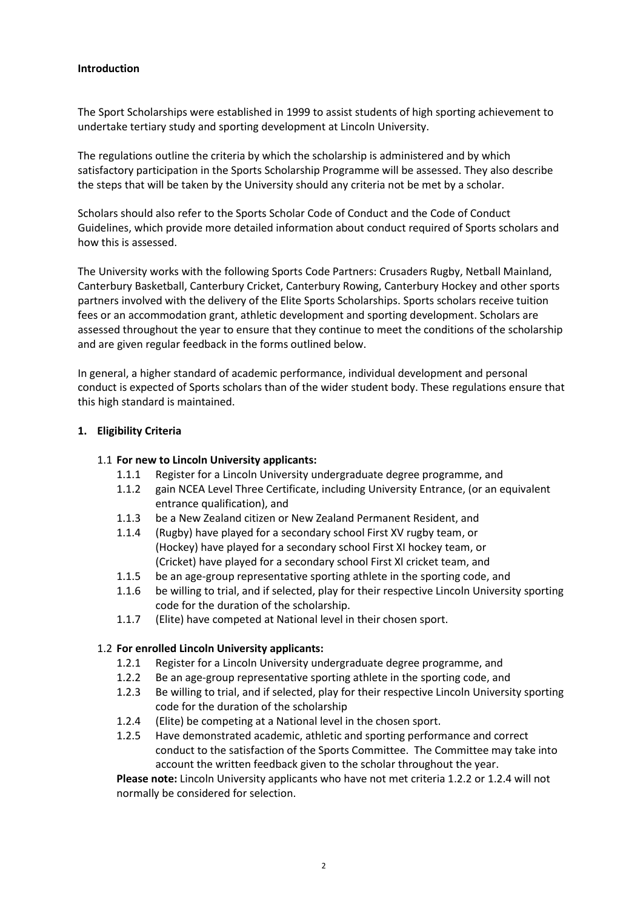# **Introduction**

The Sport Scholarships were established in 1999 to assist students of high sporting achievement to undertake tertiary study and sporting development at Lincoln University.

The regulations outline the criteria by which the scholarship is administered and by which satisfactory participation in the Sports Scholarship Programme will be assessed. They also describe the steps that will be taken by the University should any criteria not be met by a scholar.

Scholars should also refer to the Sports Scholar Code of Conduct and the Code of Conduct Guidelines, which provide more detailed information about conduct required of Sports scholars and how this is assessed.

The University works with the following Sports Code Partners: Crusaders Rugby, Netball Mainland, Canterbury Basketball, Canterbury Cricket, Canterbury Rowing, Canterbury Hockey and other sports partners involved with the delivery of the Elite Sports Scholarships. Sports scholars receive tuition fees or an accommodation grant, athletic development and sporting development. Scholars are assessed throughout the year to ensure that they continue to meet the conditions of the scholarship and are given regular feedback in the forms outlined below.

In general, a higher standard of academic performance, individual development and personal conduct is expected of Sports scholars than of the wider student body. These regulations ensure that this high standard is maintained.

### **1. Eligibility Criteria**

## 1.1 **For new to Lincoln University applicants:**

- 1.1.1 Register for a Lincoln University undergraduate degree programme, and
- 1.1.2 gain NCEA Level Three Certificate, including University Entrance, (or an equivalent entrance qualification), and
- 1.1.3 be a New Zealand citizen or New Zealand Permanent Resident, and
- 1.1.4 (Rugby) have played for a secondary school First XV rugby team, or (Hockey) have played for a secondary school First XI hockey team, or (Cricket) have played for a secondary school First Xl cricket team, and
- 1.1.5 be an age-group representative sporting athlete in the sporting code, and
- 1.1.6 be willing to trial, and if selected, play for their respective Lincoln University sporting code for the duration of the scholarship.
- 1.1.7 (Elite) have competed at National level in their chosen sport.

### 1.2 **For enrolled Lincoln University applicants:**

- 1.2.1 Register for a Lincoln University undergraduate degree programme, and
- 1.2.2 Be an age-group representative sporting athlete in the sporting code, and
- 1.2.3 Be willing to trial, and if selected, play for their respective Lincoln University sporting code for the duration of the scholarship
- 1.2.4 (Elite) be competing at a National level in the chosen sport.
- 1.2.5 Have demonstrated academic, athletic and sporting performance and correct conduct to the satisfaction of the Sports Committee. The Committee may take into account the written feedback given to the scholar throughout the year.

**Please note:** Lincoln University applicants who have not met criteria 1.2.2 or 1.2.4 will not normally be considered for selection.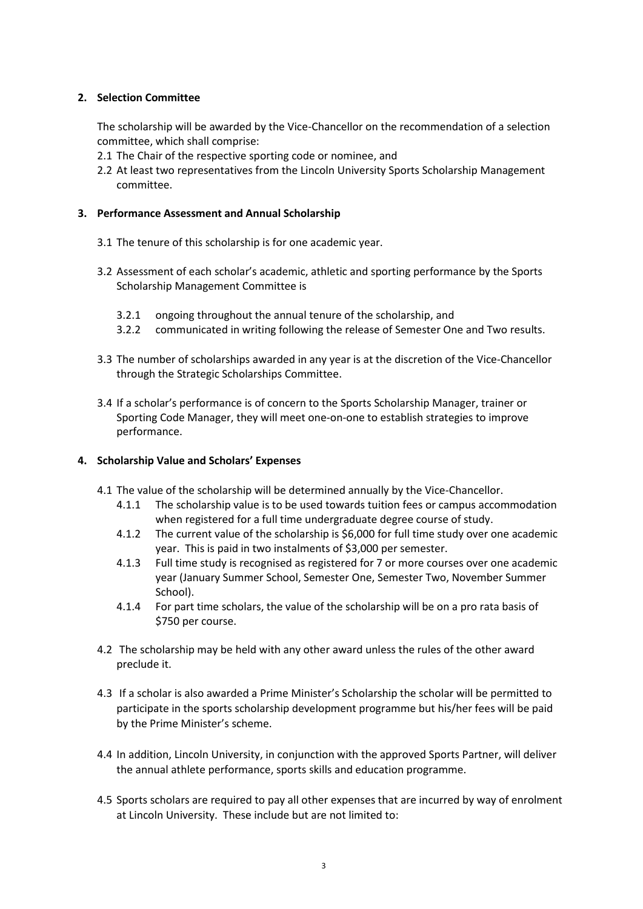# **2. Selection Committee**

The scholarship will be awarded by the Vice-Chancellor on the recommendation of a selection committee, which shall comprise:

- 2.1 The Chair of the respective sporting code or nominee, and
- 2.2 At least two representatives from the Lincoln University Sports Scholarship Management committee.

## **3. Performance Assessment and Annual Scholarship**

- 3.1 The tenure of this scholarship is for one academic year.
- 3.2 Assessment of each scholar's academic, athletic and sporting performance by the Sports Scholarship Management Committee is
	- 3.2.1 ongoing throughout the annual tenure of the scholarship, and
	- 3.2.2 communicated in writing following the release of Semester One and Two results.
- 3.3 The number of scholarships awarded in any year is at the discretion of the Vice-Chancellor through the Strategic Scholarships Committee.
- 3.4 If a scholar's performance is of concern to the Sports Scholarship Manager, trainer or Sporting Code Manager, they will meet one-on-one to establish strategies to improve performance.

## **4. Scholarship Value and Scholars' Expenses**

- 4.1 The value of the scholarship will be determined annually by the Vice-Chancellor.
	- 4.1.1 The scholarship value is to be used towards tuition fees or campus accommodation when registered for a full time undergraduate degree course of study.
	- 4.1.2 The current value of the scholarship is \$6,000 for full time study over one academic year. This is paid in two instalments of \$3,000 per semester.
	- 4.1.3 Full time study is recognised as registered for 7 or more courses over one academic year (January Summer School, Semester One, Semester Two, November Summer School).
	- 4.1.4 For part time scholars, the value of the scholarship will be on a pro rata basis of \$750 per course.
- 4.2 The scholarship may be held with any other award unless the rules of the other award preclude it.
- 4.3 If a scholar is also awarded a Prime Minister's Scholarship the scholar will be permitted to participate in the sports scholarship development programme but his/her fees will be paid by the Prime Minister's scheme.
- 4.4 In addition, Lincoln University, in conjunction with the approved Sports Partner, will deliver the annual athlete performance, sports skills and education programme.
- 4.5 Sports scholars are required to pay all other expenses that are incurred by way of enrolment at Lincoln University. These include but are not limited to: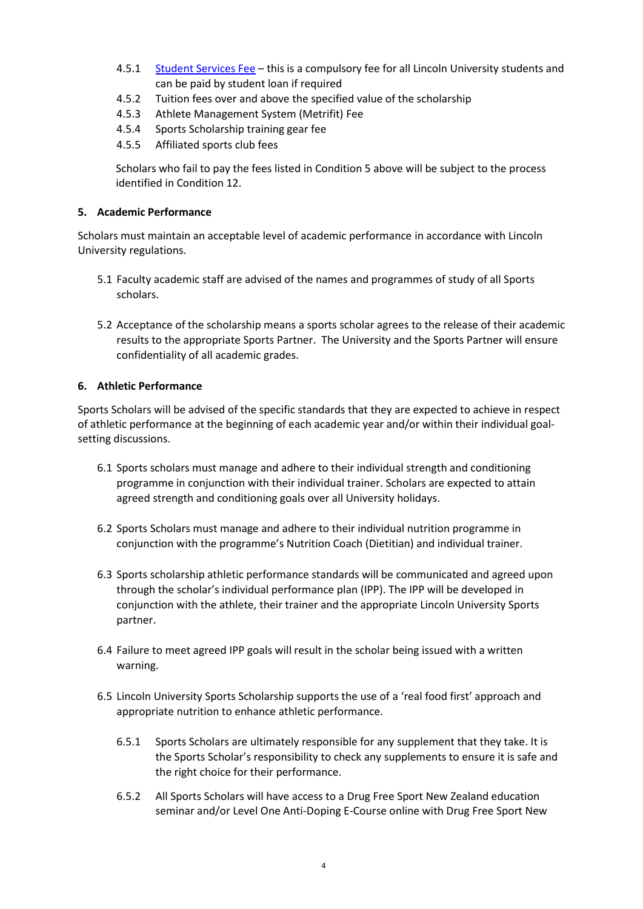- 4.5.1 [Student Services Fee](http://www.lincoln.ac.nz/Apply/Whats-it-going-to-cost/Fees-Tuition/Student-administration-fee/) this is a compulsory fee for all Lincoln University students and can be paid by student loan if required
- 4.5.2 Tuition fees over and above the specified value of the scholarship
- 4.5.3 Athlete Management System (Metrifit) Fee
- 4.5.4 Sports Scholarship training gear fee
- 4.5.5 Affiliated sports club fees

Scholars who fail to pay the fees listed in Condition 5 above will be subject to the process identified in Condition 12.

## **5. Academic Performance**

Scholars must maintain an acceptable level of academic performance in accordance with Lincoln University regulations.

- 5.1 Faculty academic staff are advised of the names and programmes of study of all Sports scholars.
- 5.2 Acceptance of the scholarship means a sports scholar agrees to the release of their academic results to the appropriate Sports Partner. The University and the Sports Partner will ensure confidentiality of all academic grades.

## **6. Athletic Performance**

Sports Scholars will be advised of the specific standards that they are expected to achieve in respect of athletic performance at the beginning of each academic year and/or within their individual goalsetting discussions.

- 6.1 Sports scholars must manage and adhere to their individual strength and conditioning programme in conjunction with their individual trainer. Scholars are expected to attain agreed strength and conditioning goals over all University holidays.
- 6.2 Sports Scholars must manage and adhere to their individual nutrition programme in conjunction with the programme's Nutrition Coach (Dietitian) and individual trainer.
- 6.3 Sports scholarship athletic performance standards will be communicated and agreed upon through the scholar's individual performance plan (IPP). The IPP will be developed in conjunction with the athlete, their trainer and the appropriate Lincoln University Sports partner.
- 6.4 Failure to meet agreed IPP goals will result in the scholar being issued with a written warning.
- 6.5 Lincoln University Sports Scholarship supports the use of a 'real food first' approach and appropriate nutrition to enhance athletic performance.
	- 6.5.1 Sports Scholars are ultimately responsible for any supplement that they take. It is the Sports Scholar's responsibility to check any supplements to ensure it is safe and the right choice for their performance.
	- 6.5.2 All Sports Scholars will have access to a Drug Free Sport New Zealand education seminar and/or Level One Anti-Doping E-Course online with Drug Free Sport New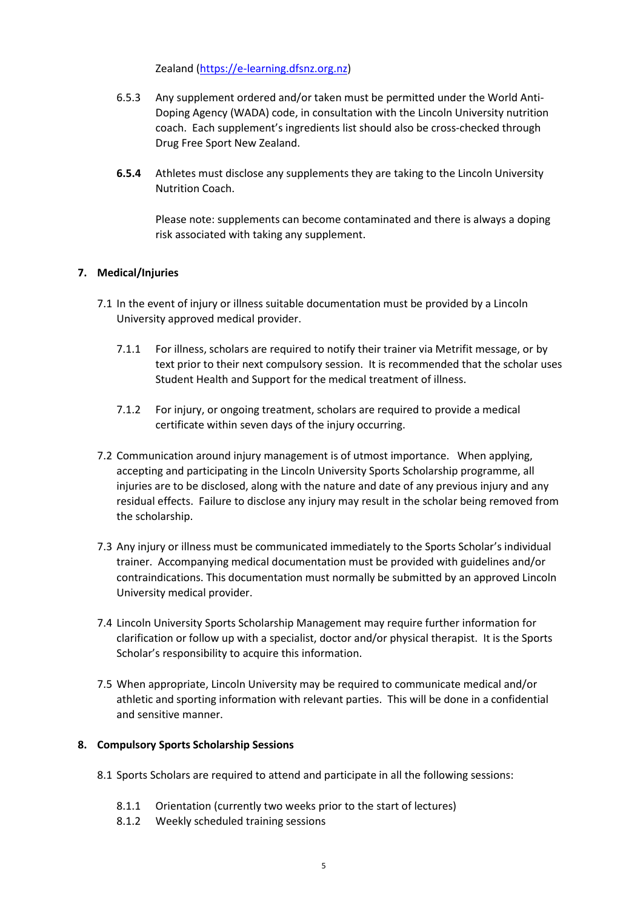Zealand [\(https://e-learning.dfsnz.org.nz\)](https://e-learning.dfsnz.org.nz/)

- 6.5.3 Any supplement ordered and/or taken must be permitted under the World Anti-Doping Agency (WADA) code, in consultation with the Lincoln University nutrition coach. Each supplement's ingredients list should also be cross-checked through Drug Free Sport New Zealand.
- **6.5.4** Athletes must disclose any supplements they are taking to the Lincoln University Nutrition Coach.

Please note: supplements can become contaminated and there is always a doping risk associated with taking any supplement.

# **7. Medical/Injuries**

- 7.1 In the event of injury or illness suitable documentation must be provided by a Lincoln University approved medical provider.
	- 7.1.1 For illness, scholars are required to notify their trainer via Metrifit message, or by text prior to their next compulsory session. It is recommended that the scholar uses Student Health and Support for the medical treatment of illness.
	- 7.1.2 For injury, or ongoing treatment, scholars are required to provide a medical certificate within seven days of the injury occurring.
- 7.2 Communication around injury management is of utmost importance. When applying, accepting and participating in the Lincoln University Sports Scholarship programme, all injuries are to be disclosed, along with the nature and date of any previous injury and any residual effects. Failure to disclose any injury may result in the scholar being removed from the scholarship.
- 7.3 Any injury or illness must be communicated immediately to the Sports Scholar's individual trainer. Accompanying medical documentation must be provided with guidelines and/or contraindications. This documentation must normally be submitted by an approved Lincoln University medical provider.
- 7.4 Lincoln University Sports Scholarship Management may require further information for clarification or follow up with a specialist, doctor and/or physical therapist. It is the Sports Scholar's responsibility to acquire this information.
- 7.5 When appropriate, Lincoln University may be required to communicate medical and/or athletic and sporting information with relevant parties. This will be done in a confidential and sensitive manner.

### **8. Compulsory Sports Scholarship Sessions**

- 8.1 Sports Scholars are required to attend and participate in all the following sessions:
	- 8.1.1 Orientation (currently two weeks prior to the start of lectures)
	- 8.1.2 Weekly scheduled training sessions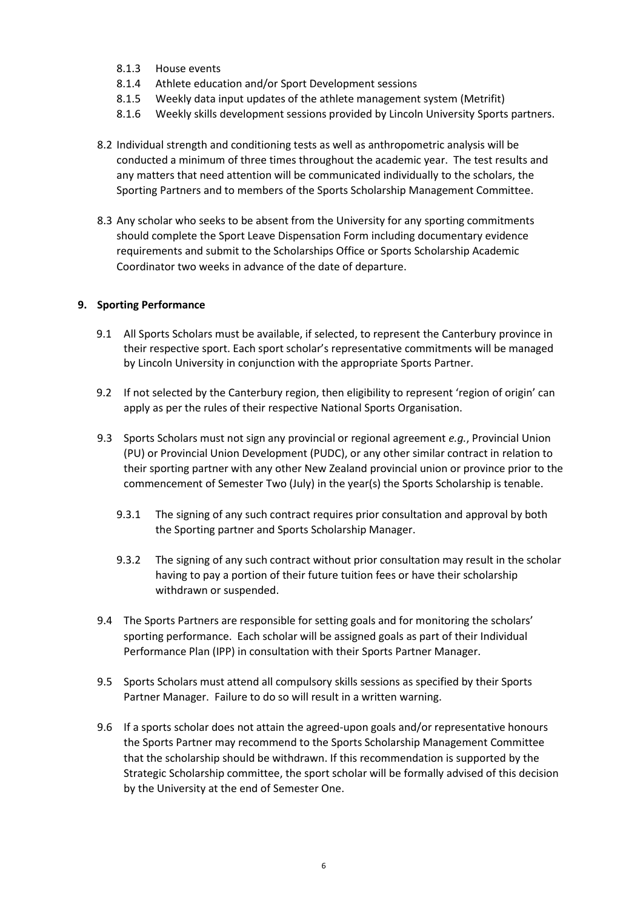- 8.1.3 House events
- 8.1.4 Athlete education and/or Sport Development sessions
- 8.1.5 Weekly data input updates of the athlete management system (Metrifit)
- 8.1.6 Weekly skills development sessions provided by Lincoln University Sports partners.
- 8.2 Individual strength and conditioning tests as well as anthropometric analysis will be conducted a minimum of three times throughout the academic year. The test results and any matters that need attention will be communicated individually to the scholars, the Sporting Partners and to members of the Sports Scholarship Management Committee.
- 8.3 Any scholar who seeks to be absent from the University for any sporting commitments should complete the Sport Leave Dispensation Form including documentary evidence requirements and submit to the Scholarships Office or Sports Scholarship Academic Coordinator two weeks in advance of the date of departure.

## **9. Sporting Performance**

- 9.1 All Sports Scholars must be available, if selected, to represent the Canterbury province in their respective sport. Each sport scholar's representative commitments will be managed by Lincoln University in conjunction with the appropriate Sports Partner.
- 9.2 If not selected by the Canterbury region, then eligibility to represent 'region of origin' can apply as per the rules of their respective National Sports Organisation.
- 9.3 Sports Scholars must not sign any provincial or regional agreement *e.g.*, Provincial Union (PU) or Provincial Union Development (PUDC), or any other similar contract in relation to their sporting partner with any other New Zealand provincial union or province prior to the commencement of Semester Two (July) in the year(s) the Sports Scholarship is tenable.
	- 9.3.1 The signing of any such contract requires prior consultation and approval by both the Sporting partner and Sports Scholarship Manager.
	- 9.3.2 The signing of any such contract without prior consultation may result in the scholar having to pay a portion of their future tuition fees or have their scholarship withdrawn or suspended.
- 9.4 The Sports Partners are responsible for setting goals and for monitoring the scholars' sporting performance. Each scholar will be assigned goals as part of their Individual Performance Plan (IPP) in consultation with their Sports Partner Manager.
- 9.5 Sports Scholars must attend all compulsory skills sessions as specified by their Sports Partner Manager. Failure to do so will result in a written warning.
- 9.6 If a sports scholar does not attain the agreed-upon goals and/or representative honours the Sports Partner may recommend to the Sports Scholarship Management Committee that the scholarship should be withdrawn. If this recommendation is supported by the Strategic Scholarship committee, the sport scholar will be formally advised of this decision by the University at the end of Semester One.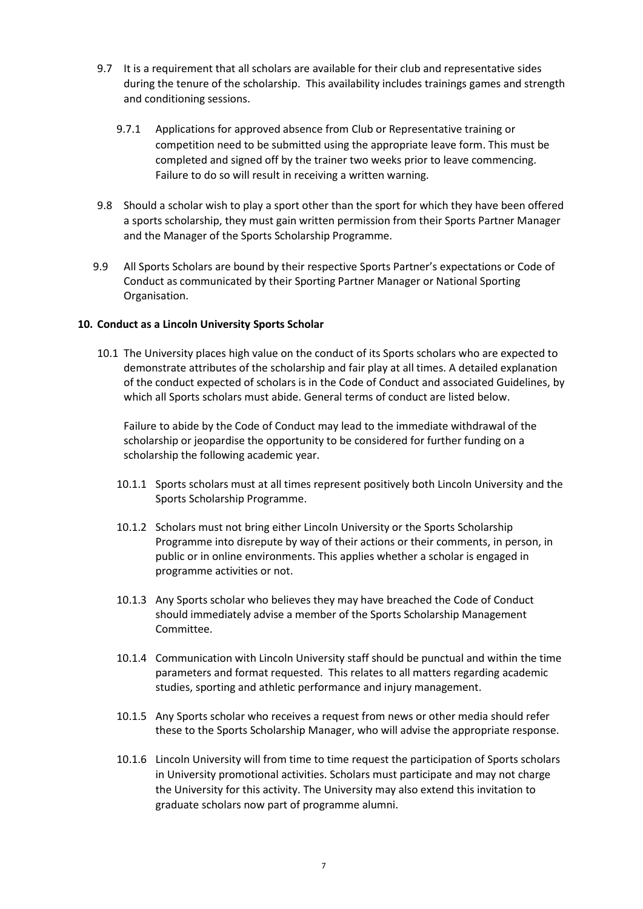- 9.7 It is a requirement that all scholars are available for their club and representative sides during the tenure of the scholarship. This availability includes trainings games and strength and conditioning sessions.
	- 9.7.1 Applications for approved absence from Club or Representative training or competition need to be submitted using the appropriate leave form. This must be completed and signed off by the trainer two weeks prior to leave commencing. Failure to do so will result in receiving a written warning.
- 9.8 Should a scholar wish to play a sport other than the sport for which they have been offered a sports scholarship, they must gain written permission from their Sports Partner Manager and the Manager of the Sports Scholarship Programme.
- 9.9 All Sports Scholars are bound by their respective Sports Partner's expectations or Code of Conduct as communicated by their Sporting Partner Manager or National Sporting Organisation.

### **10. Conduct as a Lincoln University Sports Scholar**

10.1 The University places high value on the conduct of its Sports scholars who are expected to demonstrate attributes of the scholarship and fair play at all times. A detailed explanation of the conduct expected of scholars is in the Code of Conduct and associated Guidelines, by which all Sports scholars must abide. General terms of conduct are listed below.

Failure to abide by the Code of Conduct may lead to the immediate withdrawal of the scholarship or jeopardise the opportunity to be considered for further funding on a scholarship the following academic year.

- 10.1.1 Sports scholars must at all times represent positively both Lincoln University and the Sports Scholarship Programme.
- 10.1.2 Scholars must not bring either Lincoln University or the Sports Scholarship Programme into disrepute by way of their actions or their comments, in person, in public or in online environments. This applies whether a scholar is engaged in programme activities or not.
- 10.1.3 Any Sports scholar who believes they may have breached the Code of Conduct should immediately advise a member of the Sports Scholarship Management Committee.
- 10.1.4 Communication with Lincoln University staff should be punctual and within the time parameters and format requested. This relates to all matters regarding academic studies, sporting and athletic performance and injury management.
- 10.1.5 Any Sports scholar who receives a request from news or other media should refer these to the Sports Scholarship Manager, who will advise the appropriate response.
- 10.1.6 Lincoln University will from time to time request the participation of Sports scholars in University promotional activities. Scholars must participate and may not charge the University for this activity. The University may also extend this invitation to graduate scholars now part of programme alumni.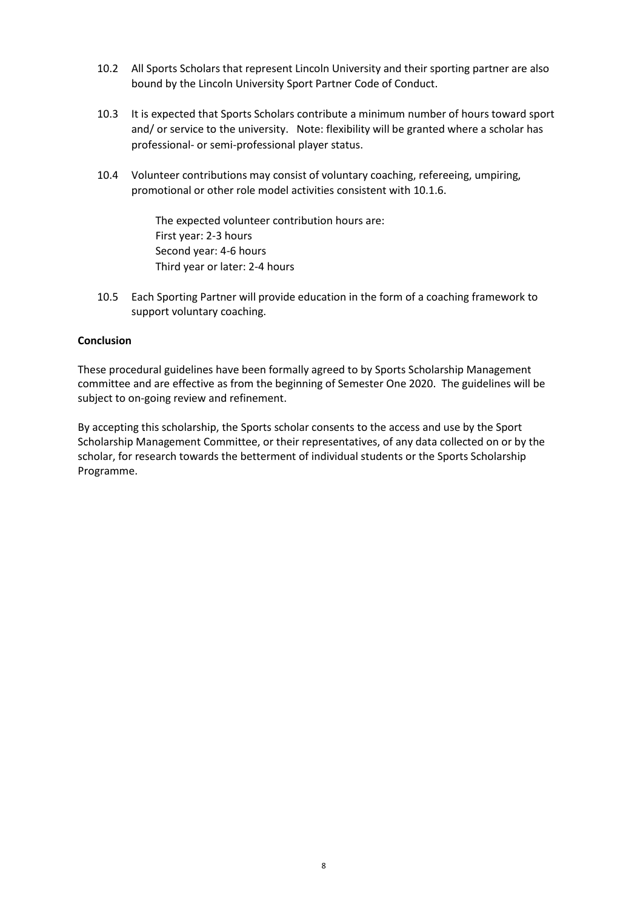- 10.2 All Sports Scholars that represent Lincoln University and their sporting partner are also bound by the Lincoln University Sport Partner Code of Conduct.
- 10.3 It is expected that Sports Scholars contribute a minimum number of hours toward sport and/ or service to the university. Note: flexibility will be granted where a scholar has professional- or semi-professional player status.
- 10.4 Volunteer contributions may consist of voluntary coaching, refereeing, umpiring, promotional or other role model activities consistent with 10.1.6.

The expected volunteer contribution hours are: First year: 2-3 hours Second year: 4-6 hours Third year or later: 2-4 hours

10.5 Each Sporting Partner will provide education in the form of a coaching framework to support voluntary coaching.

### **Conclusion**

These procedural guidelines have been formally agreed to by Sports Scholarship Management committee and are effective as from the beginning of Semester One 2020. The guidelines will be subject to on-going review and refinement.

By accepting this scholarship, the Sports scholar consents to the access and use by the Sport Scholarship Management Committee, or their representatives, of any data collected on or by the scholar, for research towards the betterment of individual students or the Sports Scholarship Programme.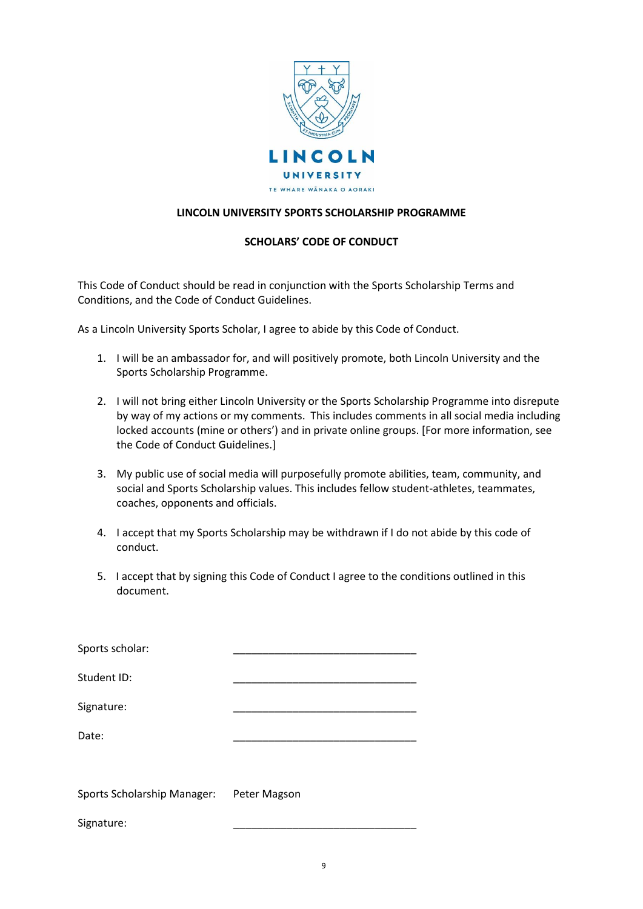

## **LINCOLN UNIVERSITY SPORTS SCHOLARSHIP PROGRAMME**

## **SCHOLARS' CODE OF CONDUCT**

This Code of Conduct should be read in conjunction with the Sports Scholarship Terms and Conditions, and the Code of Conduct Guidelines.

As a Lincoln University Sports Scholar, I agree to abide by this Code of Conduct.

- 1. I will be an ambassador for, and will positively promote, both Lincoln University and the Sports Scholarship Programme.
- 2. I will not bring either Lincoln University or the Sports Scholarship Programme into disrepute by way of my actions or my comments. This includes comments in all social media including locked accounts (mine or others') and in private online groups. [For more information, see the Code of Conduct Guidelines.]
- 3. My public use of social media will purposefully promote abilities, team, community, and social and Sports Scholarship values. This includes fellow student-athletes, teammates, coaches, opponents and officials.
- 4. I accept that my Sports Scholarship may be withdrawn if I do not abide by this code of conduct.
- 5. I accept that by signing this Code of Conduct I agree to the conditions outlined in this document.

| Sports scholar:                    |              |
|------------------------------------|--------------|
| Student ID:                        |              |
| Signature:                         |              |
| Date:                              |              |
|                                    |              |
| <b>Sports Scholarship Manager:</b> | Peter Magson |
| Signature:                         |              |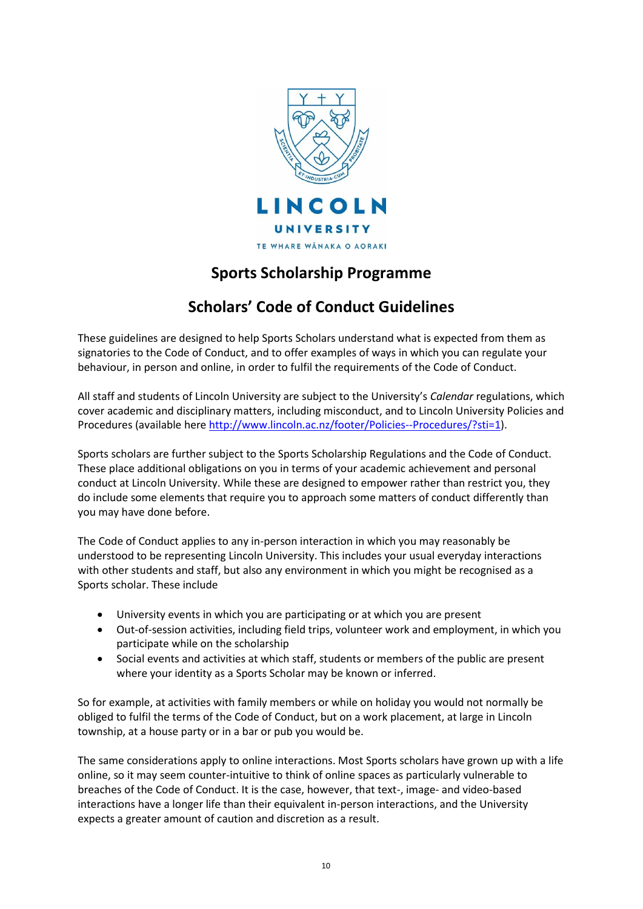

# **Sports Scholarship Programme**

# **Scholars' Code of Conduct Guidelines**

These guidelines are designed to help Sports Scholars understand what is expected from them as signatories to the Code of Conduct, and to offer examples of ways in which you can regulate your behaviour, in person and online, in order to fulfil the requirements of the Code of Conduct.

All staff and students of Lincoln University are subject to the University's *Calendar* regulations, which cover academic and disciplinary matters, including misconduct, and to Lincoln University Policies and Procedures (available her[e http://www.lincoln.ac.nz/footer/Policies--Procedures/?sti=1\)](http://www.lincoln.ac.nz/footer/Policies--Procedures/?sti=1).

Sports scholars are further subject to the Sports Scholarship Regulations and the Code of Conduct. These place additional obligations on you in terms of your academic achievement and personal conduct at Lincoln University. While these are designed to empower rather than restrict you, they do include some elements that require you to approach some matters of conduct differently than you may have done before.

The Code of Conduct applies to any in-person interaction in which you may reasonably be understood to be representing Lincoln University. This includes your usual everyday interactions with other students and staff, but also any environment in which you might be recognised as a Sports scholar. These include

- University events in which you are participating or at which you are present
- Out-of-session activities, including field trips, volunteer work and employment, in which you participate while on the scholarship
- Social events and activities at which staff, students or members of the public are present where your identity as a Sports Scholar may be known or inferred.

So for example, at activities with family members or while on holiday you would not normally be obliged to fulfil the terms of the Code of Conduct, but on a work placement, at large in Lincoln township, at a house party or in a bar or pub you would be.

The same considerations apply to online interactions. Most Sports scholars have grown up with a life online, so it may seem counter-intuitive to think of online spaces as particularly vulnerable to breaches of the Code of Conduct. It is the case, however, that text-, image- and video-based interactions have a longer life than their equivalent in-person interactions, and the University expects a greater amount of caution and discretion as a result.